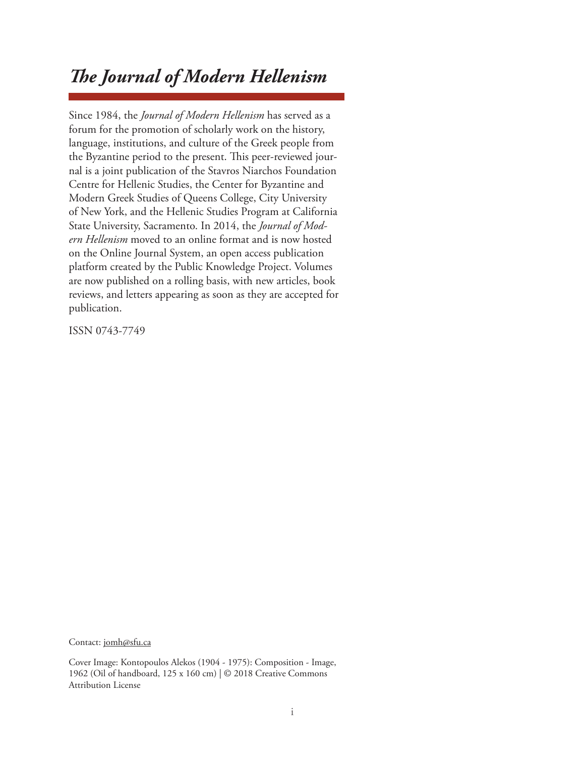# *The Journal of Modern Hellenism*

Since 1984, the *Journal of Modern Hellenism* has served as a forum for the promotion of scholarly work on the history, language, institutions, and culture of the Greek people from the Byzantine period to the present. This peer-reviewed journal is a joint publication of the Stavros Niarchos Foundation Centre for Hellenic Studies, the Center for Byzantine and Modern Greek Studies of Queens College, City University of New York, and the Hellenic Studies Program at California State University, Sacramento. In 2014, the *Journal of Modern Hellenism* moved to an online format and is now hosted on the Online Journal System, an open access publication platform created by the Public Knowledge Project. Volumes are now published on a rolling basis, with new articles, book reviews, and letters appearing as soon as they are accepted for publication.

ISSN 0743-7749

Contact: jomh@sfu.ca

Cover Image: Kontopoulos Alekos (1904 - 1975): Composition - Image, 1962 (Oil of handboard, 125 x 160 cm) | © 2018 Creative Commons Attribution License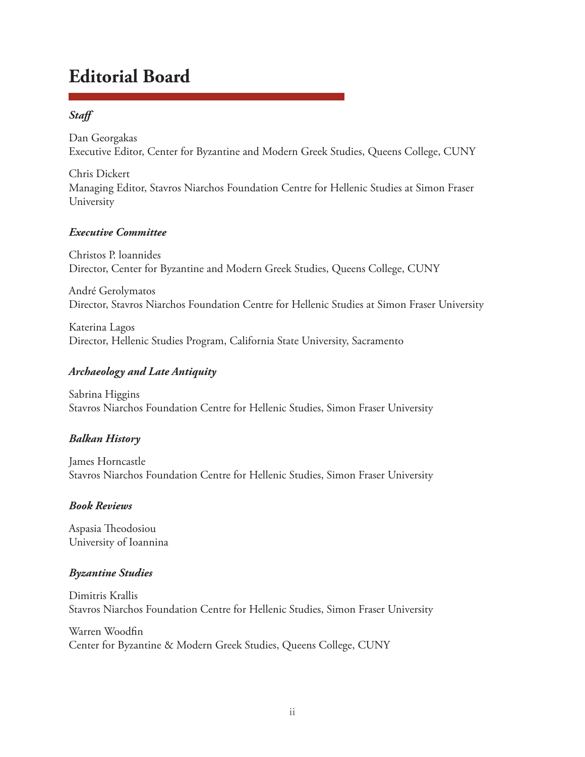## **Editorial Board**

## *Staff*

Dan Georgakas Executive Editor, Center for Byzantine and Modern Greek Studies, Queens College, CUNY

Chris Dickert Managing Editor, Stavros Niarchos Foundation Centre for Hellenic Studies at Simon Fraser University

#### *Executive Committee*

Christos P. loannides Director, Center for Byzantine and Modern Greek Studies, Queens College, CUNY

André Gerolymatos Director, Stavros Niarchos Foundation Centre for Hellenic Studies at Simon Fraser University

Katerina Lagos Director, Hellenic Studies Program, California State University, Sacramento

## *Archaeology and Late Antiquity*

Sabrina Higgins Stavros Niarchos Foundation Centre for Hellenic Studies, Simon Fraser University

## *Balkan History*

James Horncastle Stavros Niarchos Foundation Centre for Hellenic Studies, Simon Fraser University

## *Book Reviews*

Aspasia Theodosiou University of Ioannina

## *Byzantine Studies*

Dimitris Krallis Stavros Niarchos Foundation Centre for Hellenic Studies, Simon Fraser University

Warren Woodfin Center for Byzantine & Modern Greek Studies, Queens College, CUNY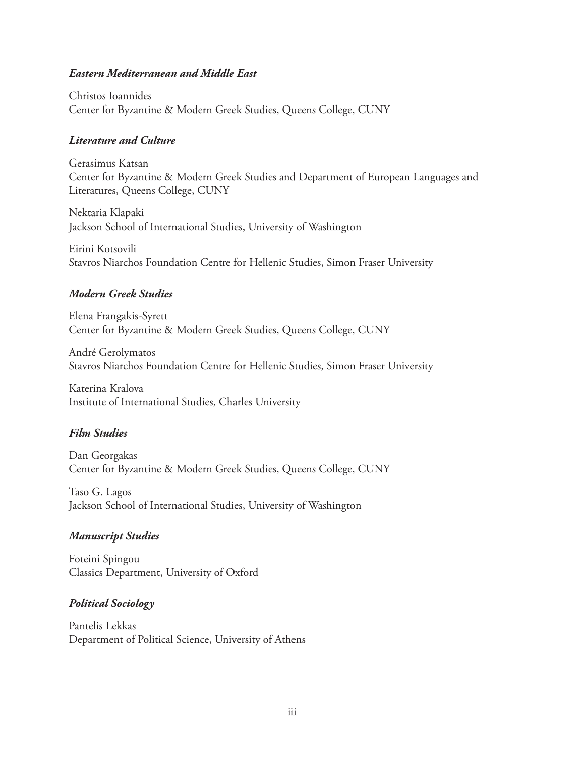#### *Eastern Mediterranean and Middle East*

Christos Ioannides Center for Byzantine & Modern Greek Studies, Queens College, CUNY

#### *Literature and Culture*

Gerasimus Katsan Center for Byzantine & Modern Greek Studies and Department of European Languages and Literatures, Queens College, CUNY

Nektaria Klapaki Jackson School of International Studies, University of Washington

Eirini Kotsovili Stavros Niarchos Foundation Centre for Hellenic Studies, Simon Fraser University

#### *Modern Greek Studies*

Elena Frangakis-Syrett Center for Byzantine & Modern Greek Studies, Queens College, CUNY

André Gerolymatos Stavros Niarchos Foundation Centre for Hellenic Studies, Simon Fraser University

Katerina Kralova Institute of International Studies, Charles University

#### *Film Studies*

Dan Georgakas Center for Byzantine & Modern Greek Studies, Queens College, CUNY

Taso G. Lagos Jackson School of International Studies, University of Washington

#### *Manuscript Studies*

Foteini Spingou Classics Department, University of Oxford

#### *Political Sociology*

Pantelis Lekkas Department of Political Science, University of Athens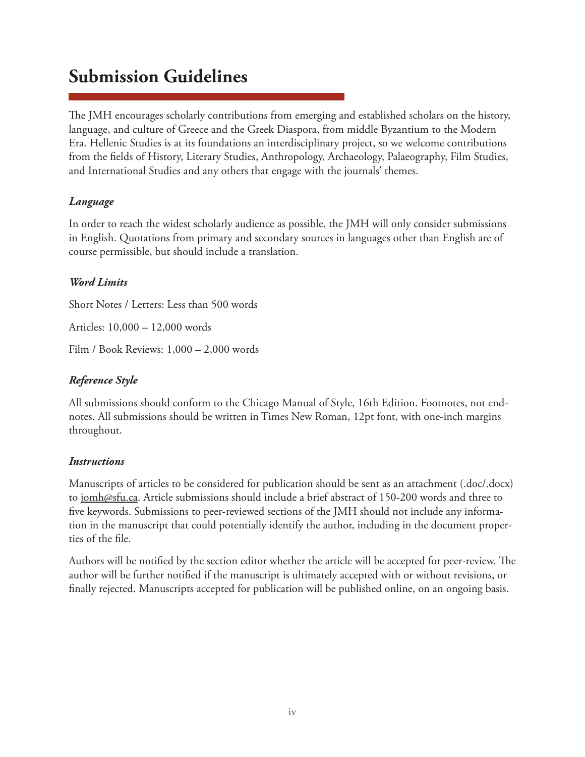## **Submission Guidelines**

The JMH encourages scholarly contributions from emerging and established scholars on the history, language, and culture of Greece and the Greek Diaspora, from middle Byzantium to the Modern Era. Hellenic Studies is at its foundations an interdisciplinary project, so we welcome contributions from the fields of History, Literary Studies, Anthropology, Archaeology, Palaeography, Film Studies, and International Studies and any others that engage with the journals' themes.

#### *Language*

In order to reach the widest scholarly audience as possible, the JMH will only consider submissions in English. Quotations from primary and secondary sources in languages other than English are of course permissible, but should include a translation.

#### *Word Limits*

Short Notes / Letters: Less than 500 words

Articles: 10,000 – 12,000 words

Film / Book Reviews: 1,000 – 2,000 words

### *Reference Style*

All submissions should conform to the Chicago Manual of Style, 16th Edition. Footnotes, not endnotes. All submissions should be written in Times New Roman, 12pt font, with one-inch margins throughout.

#### *Instructions*

Manuscripts of articles to be considered for publication should be sent as an attachment (.doc/.docx) to jomh@sfu.ca. Article submissions should include a brief abstract of 150-200 words and three to five keywords. Submissions to peer-reviewed sections of the JMH should not include any information in the manuscript that could potentially identify the author, including in the document properties of the file.

Authors will be notified by the section editor whether the article will be accepted for peer-review. The author will be further notified if the manuscript is ultimately accepted with or without revisions, or finally rejected. Manuscripts accepted for publication will be published online, on an ongoing basis.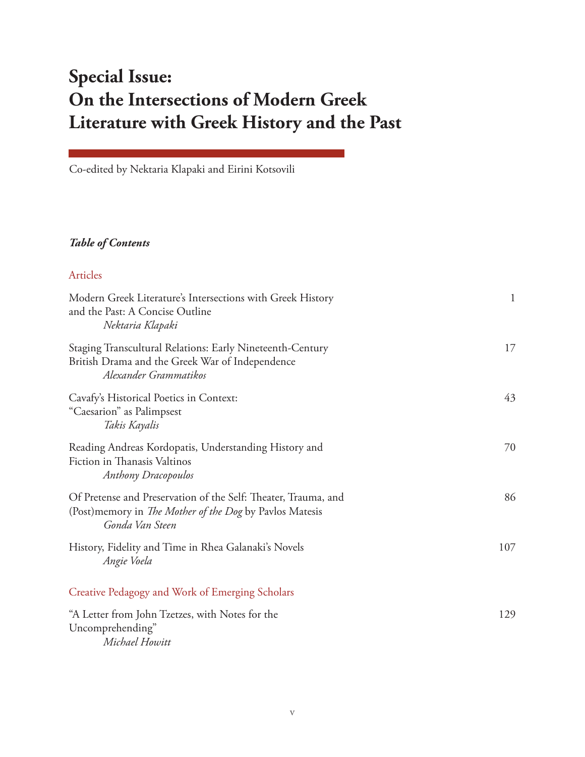# **Special Issue: On the Intersections of Modern Greek Literature with Greek History and the Past**

Co-edited by Nektaria Klapaki and Eirini Kotsovili

#### *Table of Contents*

| Articles                                                                                                                                             |              |
|------------------------------------------------------------------------------------------------------------------------------------------------------|--------------|
| Modern Greek Literature's Intersections with Greek History<br>and the Past: A Concise Outline<br>Nektaria Klapaki                                    | $\mathbf{1}$ |
| Staging Transcultural Relations: Early Nineteenth-Century<br>British Drama and the Greek War of Independence<br>Alexander Grammatikos                | 17           |
| Cavafy's Historical Poetics in Context:<br>"Caesarion" as Palimpsest<br>Takis Kayalis                                                                | 43           |
| Reading Andreas Kordopatis, Understanding History and<br>Fiction in Thanasis Valtinos<br><b>Anthony Dracopoulos</b>                                  | 70           |
| Of Pretense and Preservation of the Self: Theater, Trauma, and<br>(Post) memory in <i>The Mother of the Dog</i> by Pavlos Matesis<br>Gonda Van Steen | 86           |
| History, Fidelity and Time in Rhea Galanaki's Novels<br>Angie Voela                                                                                  | 107          |
| Creative Pedagogy and Work of Emerging Scholars                                                                                                      |              |
| "A Letter from John Tzetzes, with Notes for the<br>Uncomprehending"<br>Michael Howitt                                                                | 129          |